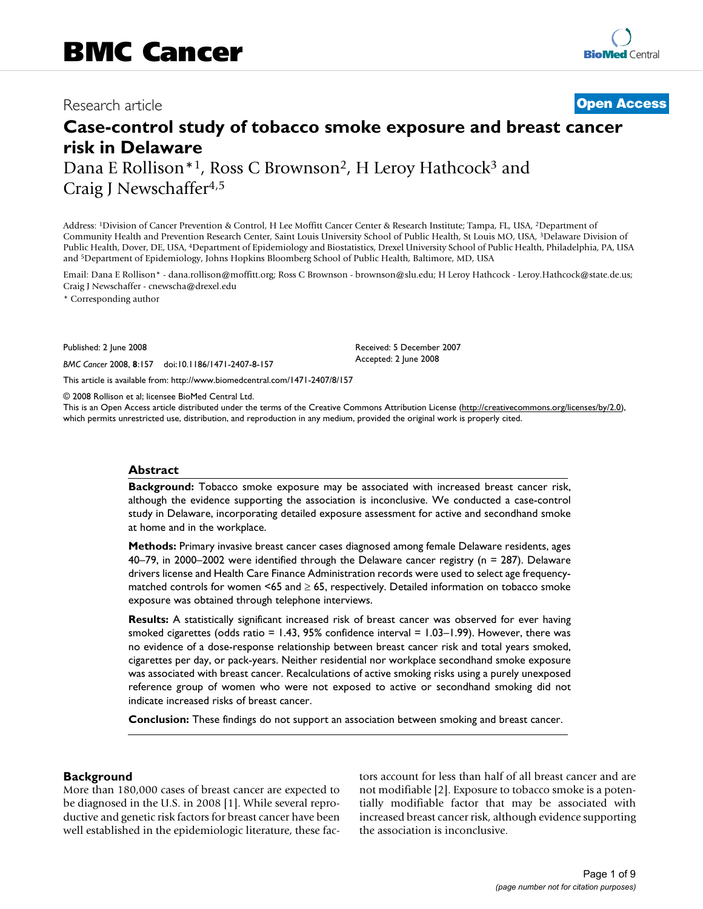## Research article **[Open Access](http://www.biomedcentral.com/info/about/charter/)**

# **Case-control study of tobacco smoke exposure and breast cancer risk in Delaware**

Dana E Rollison<sup>\*1</sup>, Ross C Brownson<sup>2</sup>, H Leroy Hathcock<sup>3</sup> and Craig J Newschaffer<sup>4,5</sup>

Address: 1Division of Cancer Prevention & Control, H Lee Moffitt Cancer Center & Research Institute; Tampa, FL, USA, 2Department of Community Health and Prevention Research Center, Saint Louis University School of Public Health, St Louis MO, USA, 3Delaware Division of Public Health, Dover, DE, USA, 4Department of Epidemiology and Biostatistics, Drexel University School of Public Health, Philadelphia, PA, USA and 5Department of Epidemiology, Johns Hopkins Bloomberg School of Public Health, Baltimore, MD, USA

Email: Dana E Rollison\* - dana.rollison@moffitt.org; Ross C Brownson - brownson@slu.edu; H Leroy Hathcock - Leroy.Hathcock@state.de.us; Craig J Newschaffer - cnewscha@drexel.edu

> Received: 5 December 2007 Accepted: 2 June 2008

\* Corresponding author

Published: 2 June 2008

*BMC Cancer* 2008, **8**:157 doi:10.1186/1471-2407-8-157

[This article is available from: http://www.biomedcentral.com/1471-2407/8/157](http://www.biomedcentral.com/1471-2407/8/157)

© 2008 Rollison et al; licensee BioMed Central Ltd.

This is an Open Access article distributed under the terms of the Creative Commons Attribution License [\(http://creativecommons.org/licenses/by/2.0\)](http://creativecommons.org/licenses/by/2.0), which permits unrestricted use, distribution, and reproduction in any medium, provided the original work is properly cited.

#### **Abstract**

**Background:** Tobacco smoke exposure may be associated with increased breast cancer risk, although the evidence supporting the association is inconclusive. We conducted a case-control study in Delaware, incorporating detailed exposure assessment for active and secondhand smoke at home and in the workplace.

**Methods:** Primary invasive breast cancer cases diagnosed among female Delaware residents, ages 40–79, in 2000–2002 were identified through the Delaware cancer registry (n = 287). Delaware drivers license and Health Care Finance Administration records were used to select age frequencymatched controls for women <65 and  $\geq$  65, respectively. Detailed information on tobacco smoke exposure was obtained through telephone interviews.

**Results:** A statistically significant increased risk of breast cancer was observed for ever having smoked cigarettes (odds ratio = 1.43, 95% confidence interval = 1.03–1.99). However, there was no evidence of a dose-response relationship between breast cancer risk and total years smoked, cigarettes per day, or pack-years. Neither residential nor workplace secondhand smoke exposure was associated with breast cancer. Recalculations of active smoking risks using a purely unexposed reference group of women who were not exposed to active or secondhand smoking did not indicate increased risks of breast cancer.

**Conclusion:** These findings do not support an association between smoking and breast cancer.

#### **Background**

More than 180,000 cases of breast cancer are expected to be diagnosed in the U.S. in 2008 [1]. While several reproductive and genetic risk factors for breast cancer have been well established in the epidemiologic literature, these factors account for less than half of all breast cancer and are not modifiable [2]. Exposure to tobacco smoke is a potentially modifiable factor that may be associated with increased breast cancer risk, although evidence supporting the association is inconclusive.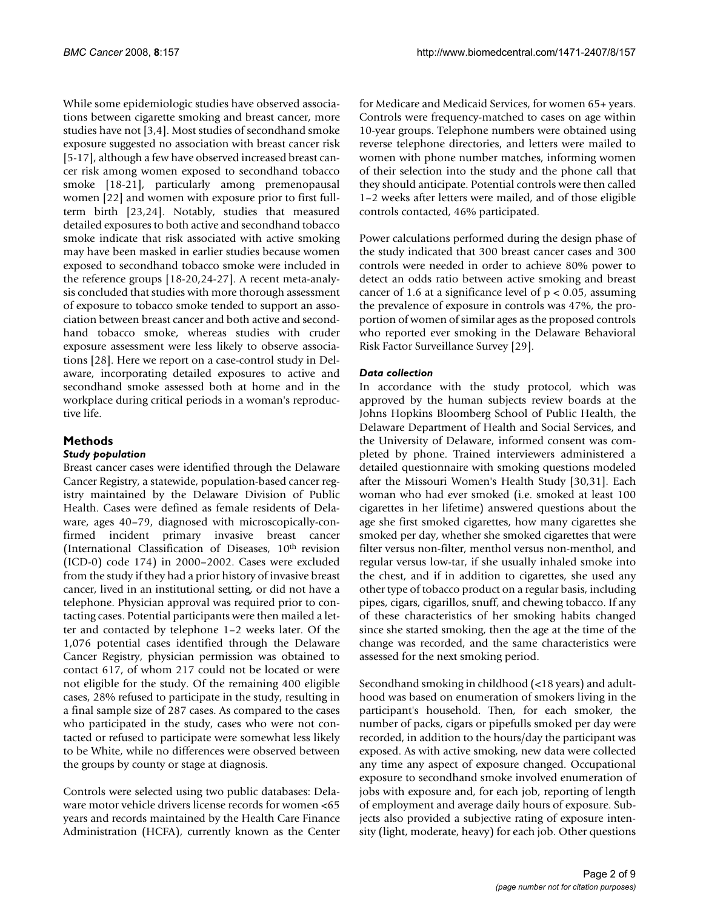While some epidemiologic studies have observed associations between cigarette smoking and breast cancer, more studies have not [3,4]. Most studies of secondhand smoke exposure suggested no association with breast cancer risk [5-17], although a few have observed increased breast cancer risk among women exposed to secondhand tobacco smoke [18-21], particularly among premenopausal women [22] and women with exposure prior to first fullterm birth [23,24]. Notably, studies that measured detailed exposures to both active and secondhand tobacco smoke indicate that risk associated with active smoking may have been masked in earlier studies because women exposed to secondhand tobacco smoke were included in the reference groups [18-20,24-27]. A recent meta-analysis concluded that studies with more thorough assessment of exposure to tobacco smoke tended to support an association between breast cancer and both active and secondhand tobacco smoke, whereas studies with cruder exposure assessment were less likely to observe associations [28]. Here we report on a case-control study in Delaware, incorporating detailed exposures to active and secondhand smoke assessed both at home and in the workplace during critical periods in a woman's reproductive life.

## **Methods**

## *Study population*

Breast cancer cases were identified through the Delaware Cancer Registry, a statewide, population-based cancer registry maintained by the Delaware Division of Public Health. Cases were defined as female residents of Delaware, ages 40–79, diagnosed with microscopically-confirmed incident primary invasive breast cancer (International Classification of Diseases, 10th revision (ICD-0) code 174) in 2000–2002. Cases were excluded from the study if they had a prior history of invasive breast cancer, lived in an institutional setting, or did not have a telephone. Physician approval was required prior to contacting cases. Potential participants were then mailed a letter and contacted by telephone 1–2 weeks later. Of the 1,076 potential cases identified through the Delaware Cancer Registry, physician permission was obtained to contact 617, of whom 217 could not be located or were not eligible for the study. Of the remaining 400 eligible cases, 28% refused to participate in the study, resulting in a final sample size of 287 cases. As compared to the cases who participated in the study, cases who were not contacted or refused to participate were somewhat less likely to be White, while no differences were observed between the groups by county or stage at diagnosis.

Controls were selected using two public databases: Delaware motor vehicle drivers license records for women <65 years and records maintained by the Health Care Finance Administration (HCFA), currently known as the Center

for Medicare and Medicaid Services, for women 65+ years. Controls were frequency-matched to cases on age within 10-year groups. Telephone numbers were obtained using reverse telephone directories, and letters were mailed to women with phone number matches, informing women of their selection into the study and the phone call that they should anticipate. Potential controls were then called 1–2 weeks after letters were mailed, and of those eligible controls contacted, 46% participated.

Power calculations performed during the design phase of the study indicated that 300 breast cancer cases and 300 controls were needed in order to achieve 80% power to detect an odds ratio between active smoking and breast cancer of 1.6 at a significance level of  $p < 0.05$ , assuming the prevalence of exposure in controls was 47%, the proportion of women of similar ages as the proposed controls who reported ever smoking in the Delaware Behavioral Risk Factor Surveillance Survey [29].

## *Data collection*

In accordance with the study protocol, which was approved by the human subjects review boards at the Johns Hopkins Bloomberg School of Public Health, the Delaware Department of Health and Social Services, and the University of Delaware, informed consent was completed by phone. Trained interviewers administered a detailed questionnaire with smoking questions modeled after the Missouri Women's Health Study [30,31]. Each woman who had ever smoked (i.e. smoked at least 100 cigarettes in her lifetime) answered questions about the age she first smoked cigarettes, how many cigarettes she smoked per day, whether she smoked cigarettes that were filter versus non-filter, menthol versus non-menthol, and regular versus low-tar, if she usually inhaled smoke into the chest, and if in addition to cigarettes, she used any other type of tobacco product on a regular basis, including pipes, cigars, cigarillos, snuff, and chewing tobacco. If any of these characteristics of her smoking habits changed since she started smoking, then the age at the time of the change was recorded, and the same characteristics were assessed for the next smoking period.

Secondhand smoking in childhood (<18 years) and adulthood was based on enumeration of smokers living in the participant's household. Then, for each smoker, the number of packs, cigars or pipefulls smoked per day were recorded, in addition to the hours/day the participant was exposed. As with active smoking, new data were collected any time any aspect of exposure changed. Occupational exposure to secondhand smoke involved enumeration of jobs with exposure and, for each job, reporting of length of employment and average daily hours of exposure. Subjects also provided a subjective rating of exposure intensity (light, moderate, heavy) for each job. Other questions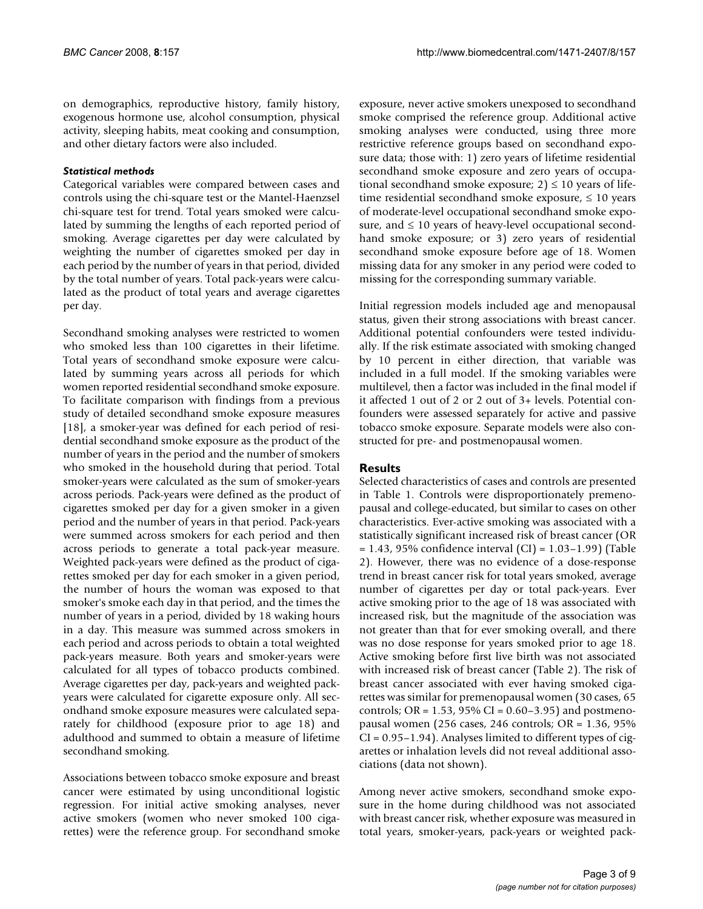on demographics, reproductive history, family history, exogenous hormone use, alcohol consumption, physical activity, sleeping habits, meat cooking and consumption, and other dietary factors were also included.

## *Statistical methods*

Categorical variables were compared between cases and controls using the chi-square test or the Mantel-Haenzsel chi-square test for trend. Total years smoked were calculated by summing the lengths of each reported period of smoking. Average cigarettes per day were calculated by weighting the number of cigarettes smoked per day in each period by the number of years in that period, divided by the total number of years. Total pack-years were calculated as the product of total years and average cigarettes per day.

Secondhand smoking analyses were restricted to women who smoked less than 100 cigarettes in their lifetime. Total years of secondhand smoke exposure were calculated by summing years across all periods for which women reported residential secondhand smoke exposure. To facilitate comparison with findings from a previous study of detailed secondhand smoke exposure measures [18], a smoker-year was defined for each period of residential secondhand smoke exposure as the product of the number of years in the period and the number of smokers who smoked in the household during that period. Total smoker-years were calculated as the sum of smoker-years across periods. Pack-years were defined as the product of cigarettes smoked per day for a given smoker in a given period and the number of years in that period. Pack-years were summed across smokers for each period and then across periods to generate a total pack-year measure. Weighted pack-years were defined as the product of cigarettes smoked per day for each smoker in a given period, the number of hours the woman was exposed to that smoker's smoke each day in that period, and the times the number of years in a period, divided by 18 waking hours in a day. This measure was summed across smokers in each period and across periods to obtain a total weighted pack-years measure. Both years and smoker-years were calculated for all types of tobacco products combined. Average cigarettes per day, pack-years and weighted packyears were calculated for cigarette exposure only. All secondhand smoke exposure measures were calculated separately for childhood (exposure prior to age 18) and adulthood and summed to obtain a measure of lifetime secondhand smoking.

Associations between tobacco smoke exposure and breast cancer were estimated by using unconditional logistic regression. For initial active smoking analyses, never active smokers (women who never smoked 100 cigarettes) were the reference group. For secondhand smoke exposure, never active smokers unexposed to secondhand smoke comprised the reference group. Additional active smoking analyses were conducted, using three more restrictive reference groups based on secondhand exposure data; those with: 1) zero years of lifetime residential secondhand smoke exposure and zero years of occupational secondhand smoke exposure;  $2$ )  $\leq$  10 years of lifetime residential secondhand smoke exposure,  $\leq 10$  years of moderate-level occupational secondhand smoke exposure, and  $\leq 10$  years of heavy-level occupational secondhand smoke exposure; or 3) zero years of residential secondhand smoke exposure before age of 18. Women missing data for any smoker in any period were coded to missing for the corresponding summary variable.

Initial regression models included age and menopausal status, given their strong associations with breast cancer. Additional potential confounders were tested individually. If the risk estimate associated with smoking changed by 10 percent in either direction, that variable was included in a full model. If the smoking variables were multilevel, then a factor was included in the final model if it affected 1 out of 2 or 2 out of 3+ levels. Potential confounders were assessed separately for active and passive tobacco smoke exposure. Separate models were also constructed for pre- and postmenopausal women.

## **Results**

Selected characteristics of cases and controls are presented in Table 1. Controls were disproportionately premenopausal and college-educated, but similar to cases on other characteristics. Ever-active smoking was associated with a statistically significant increased risk of breast cancer (OR = 1.43, 95% confidence interval (CI) = 1.03–1.99) (Table 2). However, there was no evidence of a dose-response trend in breast cancer risk for total years smoked, average number of cigarettes per day or total pack-years. Ever active smoking prior to the age of 18 was associated with increased risk, but the magnitude of the association was not greater than that for ever smoking overall, and there was no dose response for years smoked prior to age 18. Active smoking before first live birth was not associated with increased risk of breast cancer (Table 2). The risk of breast cancer associated with ever having smoked cigarettes was similar for premenopausal women (30 cases, 65 controls;  $OR = 1.53$ ,  $95\% CI = 0.60 - 3.95$ ) and postmenopausal women (256 cases, 246 controls; OR = 1.36, 95%  $CI = 0.95 - 1.94$ . Analyses limited to different types of cigarettes or inhalation levels did not reveal additional associations (data not shown).

Among never active smokers, secondhand smoke exposure in the home during childhood was not associated with breast cancer risk, whether exposure was measured in total years, smoker-years, pack-years or weighted pack-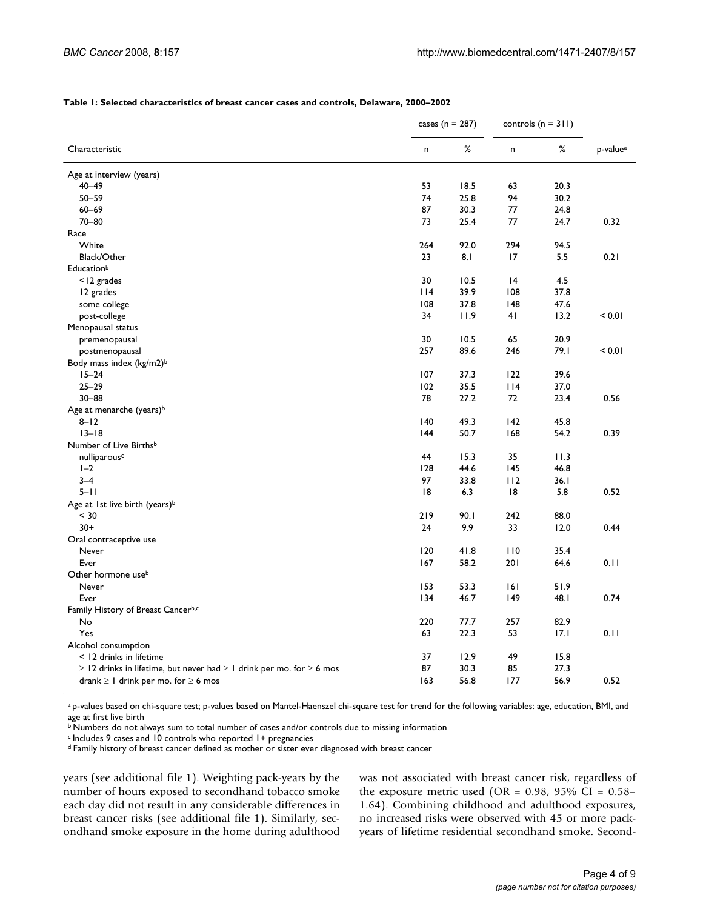#### cases  $(n = 287)$  controls  $(n = 311)$ Characteristic n % n % p-valuea Age at interview (years) 40–49 53 18.5 63 20.3 50–59 74 25.8 94 30.2 60–69 87 30.3 77 24.8 70–80 73 25.4 77 24.7 0.32 Race White 264 92.0 294 94.5 Black/Other 23 8.1 17 5.5 0.21 **Education**b <12 grades 30 10.5 14 4.5 12 grades 27.8 and 27.8 and 27.8 and 27.8 and 27.8 and 27.8 and 27.8 and 27.8 and 27.8 and 27.8 and 27.8 and 2 some college 108 37.8 148 47.6 post-college 34 11.9 41 13.2 < 0.01 Menopausal status premenopausal 30 10.5 65 20.9 postmenopausal 257 89.6 246 79.1 < 0.01 Body mass index (kg/m2)<sup>b</sup> 15–24 107 37.3 122 39.6 25–29 102 35.5 114 37.0 30–88 78 27.2 72 23.4 0.56 Age at menarche (years)<sup>b</sup> 8–12 140 49.3 142 45.8 13–18 144 50.7 168 54.2 0.39 Number of Live Birthsb nulliparousc 44 15.3 35 11.3  $1-2$  1-2 128 44.6 145 46.8 3–4 97 33.8 112 36.1 5–11 **18 6.3 18 5.8 0.52** Age at 1st live birth (years)<sup>b</sup>  $<$  30  $<$  30  $<$  30  $<$  30  $<$  319  $<$  90.1  $<$  242  $<$  88.0 30+ 24 9.9 33 12.0 0.44 Oral contraceptive use Never 20 120 41.8 110 35.4 Ever 167 58.2 201 64.6 0.11 Other hormone use<sup>b</sup> Never 153 53.3 161 51.9 Ever 134 46.7 149 48.1 0.74 Family History of Breast Cancerb,c No 220 77.7 257 82.9 Yes 63 22.3 53 17.1 0.11 Alcohol consumption < 12 drinks in lifetime 37 12.9 49 15.8 ≥ 12 drinks in lifetime, but never had ≥ 1 drink per mo. for ≥ 6 mos 87 30.3 85 27.3

#### **Table 1: Selected characteristics of breast cancer cases and controls, Delaware, 2000–2002**

a p-values based on chi-square test; p-values based on Mantel-Haenszel chi-square test for trend for the following variables: age, education, BMI, and age at first live birth

drank ≥ 1 drink per mo. for ≥ 6 mos 163 56.8 177 56.9 0.52

b Numbers do not always sum to total number of cases and/or controls due to missing information

c Includes 9 cases and 10 controls who reported 1+ pregnancies

d Family history of breast cancer defined as mother or sister ever diagnosed with breast cancer

years (see additional file 1). Weighting pack-years by the number of hours exposed to secondhand tobacco smoke each day did not result in any considerable differences in breast cancer risks (see additional file 1). Similarly, secondhand smoke exposure in the home during adulthood was not associated with breast cancer risk, regardless of the exposure metric used (OR =  $0.98$ , 95% CI =  $0.58$ – 1.64). Combining childhood and adulthood exposures, no increased risks were observed with 45 or more packyears of lifetime residential secondhand smoke. Second-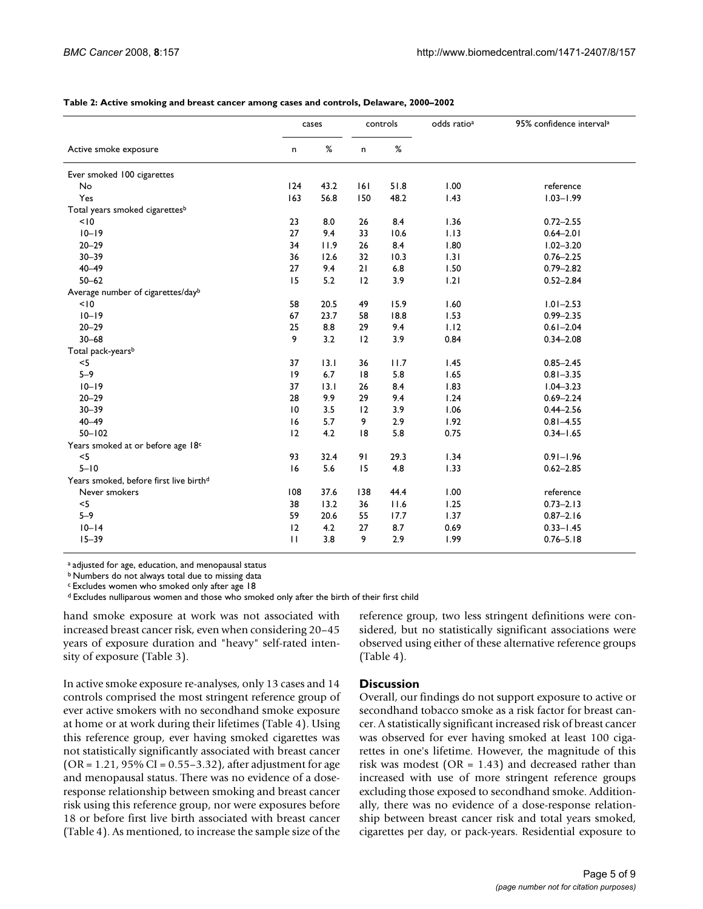|                                                    | cases        |      | controls |      | odds ratio <sup>a</sup> | 95% confidence interval <sup>a</sup> |  |  |
|----------------------------------------------------|--------------|------|----------|------|-------------------------|--------------------------------------|--|--|
| Active smoke exposure                              | n            | $\%$ | n        | $\%$ |                         |                                      |  |  |
| Ever smoked 100 cigarettes                         |              |      |          |      |                         |                                      |  |  |
| No                                                 | 124          | 43.2 | 6        | 51.8 | 1.00                    | reference                            |  |  |
| Yes                                                | 163          | 56.8 | 150      | 48.2 | 1.43                    | $1.03 - 1.99$                        |  |  |
| Total years smoked cigarettesb                     |              |      |          |      |                         |                                      |  |  |
| < 10                                               | 23           | 8.0  | 26       | 8.4  | 1.36                    | $0.72 - 2.55$                        |  |  |
| $10 - 19$                                          | 27           | 9.4  | 33       | 10.6 | 1.13                    | $0.64 - 2.01$                        |  |  |
| $20 - 29$                                          | 34           | 11.9 | 26       | 8.4  | 1.80                    | $1.02 - 3.20$                        |  |  |
| $30 - 39$                                          | 36           | 12.6 | 32       | 10.3 | 1.31                    | $0.76 - 2.25$                        |  |  |
| $40 - 49$                                          | 27           | 9.4  | 21       | 6.8  | 1.50                    | $0.79 - 2.82$                        |  |  |
| $50 - 62$                                          | 15           | 5.2  | 12       | 3.9  | 1.21                    | $0.52 - 2.84$                        |  |  |
| Average number of cigarettes/dayb                  |              |      |          |      |                         |                                      |  |  |
| < 10                                               | 58           | 20.5 | 49       | 15.9 | 1.60                    | $1.01 - 2.53$                        |  |  |
| $10 - 19$                                          | 67           | 23.7 | 58       | 18.8 | 1.53                    | $0.99 - 2.35$                        |  |  |
| $20 - 29$                                          | 25           | 8.8  | 29       | 9.4  | 1.12                    | $0.61 - 2.04$                        |  |  |
| $30 - 68$                                          | 9            | 3.2  | 12       | 3.9  | 0.84                    | $0.34 - 2.08$                        |  |  |
| Total pack-yearsb                                  |              |      |          |      |                         |                                      |  |  |
| $<$ 5                                              | 37           | 13.1 | 36       | 11.7 | 1.45                    | $0.85 - 2.45$                        |  |  |
| $5 - 9$                                            | 9            | 6.7  | 8        | 5.8  | 1.65                    | $0.81 - 3.35$                        |  |  |
| $10 - 19$                                          | 37           | 13.1 | 26       | 8.4  | 1.83                    | $1.04 - 3.23$                        |  |  |
| $20 - 29$                                          | 28           | 9.9  | 29       | 9.4  | 1.24                    | $0.69 - 2.24$                        |  |  |
| $30 - 39$                                          | 10           | 3.5  | 12       | 3.9  | 1.06                    | $0.44 - 2.56$                        |  |  |
| $40 - 49$                                          | 16           | 5.7  | 9        | 2.9  | 1.92                    | $0.81 - 4.55$                        |  |  |
| $50 - 102$                                         | 12           | 4.2  | 8        | 5.8  | 0.75                    | $0.34 - 1.65$                        |  |  |
| Years smoked at or before age 18 <sup>c</sup>      |              |      |          |      |                         |                                      |  |  |
| $<$ 5                                              | 93           | 32.4 | 91       | 29.3 | 1.34                    | $0.91 - 1.96$                        |  |  |
| $5 - 10$                                           | 16           | 5.6  | 15       | 4.8  | 1.33                    | $0.62 - 2.85$                        |  |  |
| Years smoked, before first live birth <sup>d</sup> |              |      |          |      |                         |                                      |  |  |
| Never smokers                                      | 108          | 37.6 | 138      | 44.4 | 1.00                    | reference                            |  |  |
| $<$ 5                                              | 38           | 13.2 | 36       | 11.6 | 1.25                    | $0.73 - 2.13$                        |  |  |
| $5 - 9$                                            | 59           | 20.6 | 55       | 17.7 | 1.37                    | $0.87 - 2.16$                        |  |  |
| $10 - 14$                                          | 12           | 4.2  | 27       | 8.7  | 0.69                    | $0.33 - 1.45$                        |  |  |
| $15 - 39$                                          | $\mathbf{H}$ | 3.8  | 9        | 2.9  | 1.99                    | $0.76 - 5.18$                        |  |  |

#### **Table 2: Active smoking and breast cancer among cases and controls, Delaware, 2000–2002**

a adjusted for age, education, and menopausal status

b Numbers do not always total due to missing data

c Excludes women who smoked only after age 18

d Excludes nulliparous women and those who smoked only after the birth of their first child

hand smoke exposure at work was not associated with increased breast cancer risk, even when considering 20–45 years of exposure duration and "heavy" self-rated intensity of exposure (Table 3).

In active smoke exposure re-analyses, only 13 cases and 14 controls comprised the most stringent reference group of ever active smokers with no secondhand smoke exposure at home or at work during their lifetimes (Table 4). Using this reference group, ever having smoked cigarettes was not statistically significantly associated with breast cancer  $(OR = 1.21, 95\% CI = 0.55 - 3.32)$ , after adjustment for age and menopausal status. There was no evidence of a doseresponse relationship between smoking and breast cancer risk using this reference group, nor were exposures before 18 or before first live birth associated with breast cancer (Table 4). As mentioned, to increase the sample size of the reference group, two less stringent definitions were considered, but no statistically significant associations were observed using either of these alternative reference groups (Table 4).

#### **Discussion**

Overall, our findings do not support exposure to active or secondhand tobacco smoke as a risk factor for breast cancer. A statistically significant increased risk of breast cancer was observed for ever having smoked at least 100 cigarettes in one's lifetime. However, the magnitude of this risk was modest ( $OR = 1.43$ ) and decreased rather than increased with use of more stringent reference groups excluding those exposed to secondhand smoke. Additionally, there was no evidence of a dose-response relationship between breast cancer risk and total years smoked, cigarettes per day, or pack-years. Residential exposure to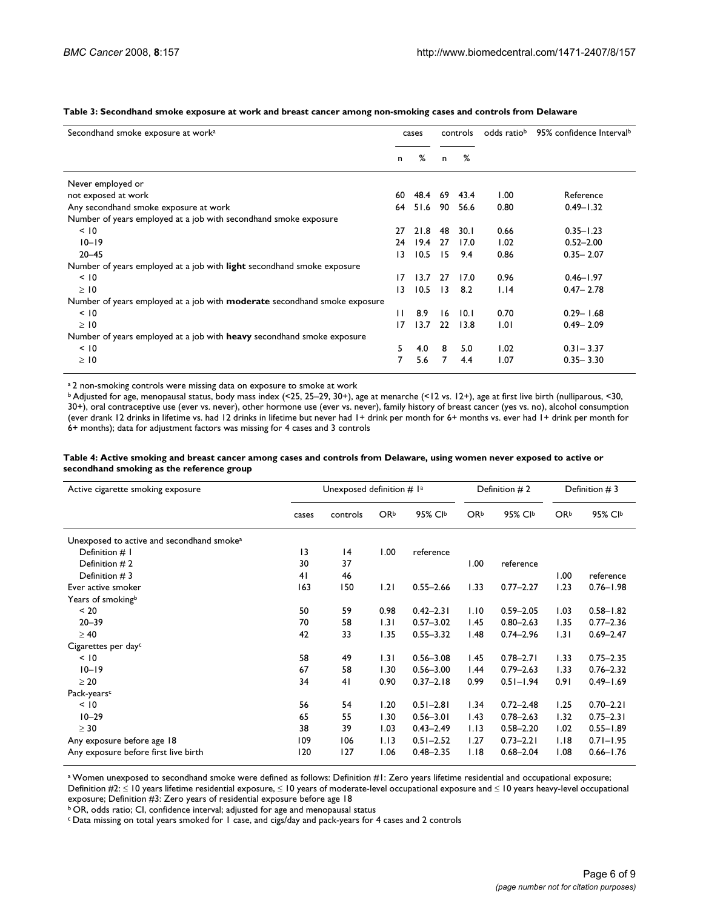**Table 3: Secondhand smoke exposure at work and breast cancer among non-smoking cases and controls from Delaware**

| Secondhand smoke exposure at work <sup>a</sup>                                   | cases           |      | controls        |      | odds ratio <sup>b</sup> | 95% confidence Interval <sup>b</sup> |  |  |
|----------------------------------------------------------------------------------|-----------------|------|-----------------|------|-------------------------|--------------------------------------|--|--|
|                                                                                  | n               | %    | n               | %    |                         |                                      |  |  |
| Never employed or                                                                |                 |      |                 |      |                         |                                      |  |  |
| not exposed at work                                                              | 60              | 48.4 | 69              | 43.4 | 1.00                    | Reference                            |  |  |
| Any secondhand smoke exposure at work                                            | 64              | 51.6 | 90              | 56.6 | 0.80                    | $0.49 - 1.32$                        |  |  |
| Number of years employed at a job with secondhand smoke exposure                 |                 |      |                 |      |                         |                                      |  |  |
| < 10                                                                             | 27              | 21.8 | 48              | 30.1 | 0.66                    | $0.35 - 1.23$                        |  |  |
| $10 - 19$                                                                        | 24              | 19.4 | 27              | 17.0 | 1.02                    | $0.52 - 2.00$                        |  |  |
| $20 - 45$                                                                        | $\overline{13}$ | 10.5 | -15             | 9.4  | 0.86                    | $0.35 - 2.07$                        |  |  |
| Number of years employed at a job with <b>light</b> secondhand smoke exposure    |                 |      |                 |      |                         |                                      |  |  |
| < 10                                                                             | 17              | 13.7 | 27              | 17.0 | 0.96                    | $0.46 - 1.97$                        |  |  |
| $\geq$ 10                                                                        | $\overline{13}$ | 10.5 | $\overline{13}$ | 8.2  | 1.14                    | $0.47 - 2.78$                        |  |  |
| Number of years employed at a job with <b>moderate</b> secondhand smoke exposure |                 |      |                 |      |                         |                                      |  |  |
| < 10                                                                             | $\mathbf{1}$    | 8.9  | 16              | 10.1 | 0.70                    | $0.29 - 1.68$                        |  |  |
| $\geq$ 10                                                                        | 17              | 13.7 | 22              | 13.8 | 1.01                    | $0.49 - 2.09$                        |  |  |
| Number of years employed at a job with <b>heavy</b> secondhand smoke exposure    |                 |      |                 |      |                         |                                      |  |  |
| < 10                                                                             | 5               | 4.0  | 8               | 5.0  | 1.02                    | $0.31 - 3.37$                        |  |  |
| $\geq$ 10                                                                        |                 | 5.6  | 7               | 4.4  | 1.07                    | $0.35 - 3.30$                        |  |  |

<sup>a</sup> 2 non-smoking controls were missing data on exposure to smoke at work

b Adjusted for age, menopausal status, body mass index (<25, 25–29, 30+), age at menarche (<12 vs. 12+), age at first live birth (nulliparous, <30, 30+), oral contraceptive use (ever vs. never), other hormone use (ever vs. never), family history of breast cancer (yes vs. no), alcohol consumption (ever drank 12 drinks in lifetime vs. had 12 drinks in lifetime but never had 1+ drink per month for 6+ months vs. ever had 1+ drink per month for 6+ months); data for adjustment factors was missing for 4 cases and 3 controls

#### **Table 4: Active smoking and breast cancer among cases and controls from Delaware, using women never exposed to active or secondhand smoking as the reference group**

| Active cigarette smoking exposure                     | Unexposed definition $#$ $1^a$ |          |                 |               | Definition #2   |               | Definition #3   |               |
|-------------------------------------------------------|--------------------------------|----------|-----------------|---------------|-----------------|---------------|-----------------|---------------|
|                                                       | cases                          | controls | OR <sup>b</sup> | 95% CIb       | OR <sup>b</sup> | 95% CIb       | OR <sup>b</sup> | 95% CIb       |
| Unexposed to active and secondhand smoke <sup>a</sup> |                                |          |                 |               |                 |               |                 |               |
| Definition $# I$                                      | $\overline{13}$                | 4        | 1.00            | reference     |                 |               |                 |               |
| Definition #2                                         | 30                             | 37       |                 |               | 1.00            | reference     |                 |               |
| Definition #3                                         | 41                             | 46       |                 |               |                 |               | 1.00            | reference     |
| Ever active smoker                                    | 163                            | 150      | 1.21            | $0.55 - 2.66$ | 1.33            | $0.77 - 2.27$ | 1.23            | $0.76 - 1.98$ |
| Years of smoking <sup>b</sup>                         |                                |          |                 |               |                 |               |                 |               |
| < 20                                                  | 50                             | 59       | 0.98            | $0.42 - 2.31$ | 1.10            | $0.59 - 2.05$ | 1.03            | $0.58 - 1.82$ |
| $20 - 39$                                             | 70                             | 58       | 1.31            | $0.57 - 3.02$ | 1.45            | $0.80 - 2.63$ | 1.35            | $0.77 - 2.36$ |
| $\geq 40$                                             | 42                             | 33       | 1.35            | $0.55 - 3.32$ | 1.48            | $0.74 - 2.96$ | 1.31            | $0.69 - 2.47$ |
| Cigarettes per day <sup>c</sup>                       |                                |          |                 |               |                 |               |                 |               |
| < 10                                                  | 58                             | 49       | 1.31            | $0.56 - 3.08$ | 1.45            | $0.78 - 2.71$ | 1.33            | $0.75 - 2.35$ |
| $10 - 19$                                             | 67                             | 58       | 1.30            | $0.56 - 3.00$ | 1.44            | $0.79 - 2.63$ | 1.33            | $0.76 - 2.32$ |
| $\geq 20$                                             | 34                             | 41       | 0.90            | $0.37 - 2.18$ | 0.99            | $0.51 - 1.94$ | 0.91            | $0.49 - 1.69$ |
| Pack-years <sup>c</sup>                               |                                |          |                 |               |                 |               |                 |               |
| < 10                                                  | 56                             | 54       | 1.20            | $0.51 - 2.81$ | 1.34            | $0.72 - 2.48$ | 1.25            | $0.70 - 2.21$ |
| $10 - 29$                                             | 65                             | 55       | 1.30            | $0.56 - 3.01$ | 1.43            | $0.78 - 2.63$ | 1.32            | $0.75 - 2.31$ |
| $\geq 30$                                             | 38                             | 39       | 1.03            | $0.43 - 2.49$ | 1.13            | $0.58 - 2.20$ | 1.02            | $0.55 - 1.89$ |
| Any exposure before age 18                            | 109                            | 106      | 1.13            | $0.51 - 2.52$ | 1.27            | $0.73 - 2.21$ | 1.18            | $0.71 - 1.95$ |
| Any exposure before first live birth                  | 120                            | 127      | 1.06            | $0.48 - 2.35$ | 1.18            | $0.68 - 2.04$ | 0.08            | $0.66 - 1.76$ |

a Women unexposed to secondhand smoke were defined as follows: Definition #1: Zero years lifetime residential and occupational exposure; Definition #2: ≤ 10 years lifetime residential exposure, ≤ 10 years of moderate-level occupational exposure and ≤ 10 years heavy-level occupational exposure; Definition #3: Zero years of residential exposure before age 18

b OR, odds ratio; CI, confidence interval; adjusted for age and menopausal status

c Data missing on total years smoked for 1 case, and cigs/day and pack-years for 4 cases and 2 controls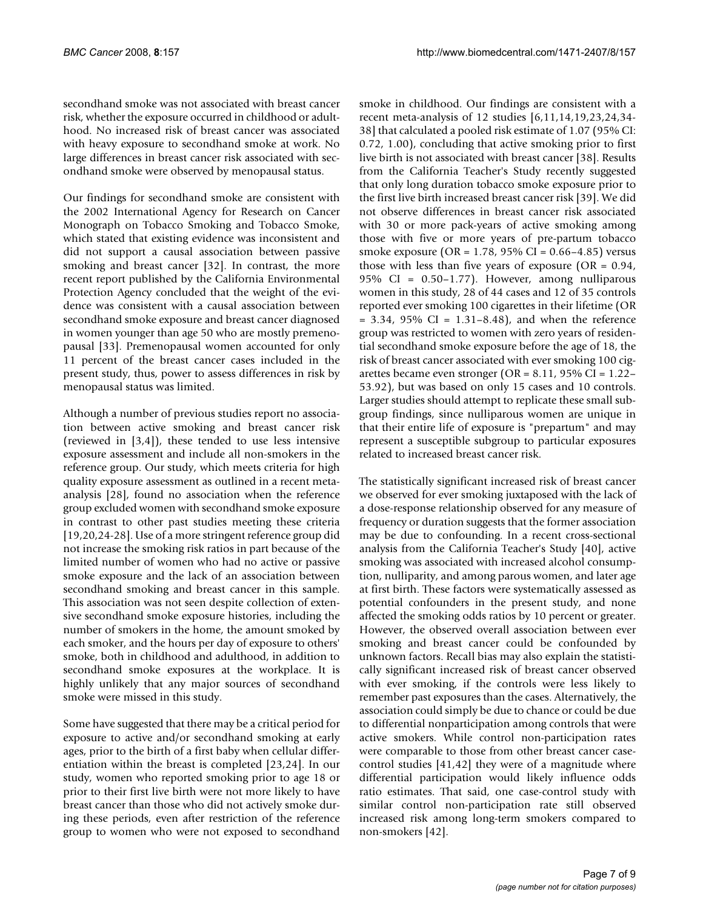secondhand smoke was not associated with breast cancer risk, whether the exposure occurred in childhood or adulthood. No increased risk of breast cancer was associated with heavy exposure to secondhand smoke at work. No large differences in breast cancer risk associated with secondhand smoke were observed by menopausal status.

Our findings for secondhand smoke are consistent with the 2002 International Agency for Research on Cancer Monograph on Tobacco Smoking and Tobacco Smoke, which stated that existing evidence was inconsistent and did not support a causal association between passive smoking and breast cancer [32]. In contrast, the more recent report published by the California Environmental Protection Agency concluded that the weight of the evidence was consistent with a causal association between secondhand smoke exposure and breast cancer diagnosed in women younger than age 50 who are mostly premenopausal [33]. Premenopausal women accounted for only 11 percent of the breast cancer cases included in the present study, thus, power to assess differences in risk by menopausal status was limited.

Although a number of previous studies report no association between active smoking and breast cancer risk (reviewed in [3,4]), these tended to use less intensive exposure assessment and include all non-smokers in the reference group. Our study, which meets criteria for high quality exposure assessment as outlined in a recent metaanalysis [28], found no association when the reference group excluded women with secondhand smoke exposure in contrast to other past studies meeting these criteria [19,20,24-28]. Use of a more stringent reference group did not increase the smoking risk ratios in part because of the limited number of women who had no active or passive smoke exposure and the lack of an association between secondhand smoking and breast cancer in this sample. This association was not seen despite collection of extensive secondhand smoke exposure histories, including the number of smokers in the home, the amount smoked by each smoker, and the hours per day of exposure to others' smoke, both in childhood and adulthood, in addition to secondhand smoke exposures at the workplace. It is highly unlikely that any major sources of secondhand smoke were missed in this study.

Some have suggested that there may be a critical period for exposure to active and/or secondhand smoking at early ages, prior to the birth of a first baby when cellular differentiation within the breast is completed [23,24]. In our study, women who reported smoking prior to age 18 or prior to their first live birth were not more likely to have breast cancer than those who did not actively smoke during these periods, even after restriction of the reference group to women who were not exposed to secondhand

smoke in childhood. Our findings are consistent with a recent meta-analysis of 12 studies [6,11,14,19,23,24,34- 38] that calculated a pooled risk estimate of 1.07 (95% CI: 0.72, 1.00), concluding that active smoking prior to first live birth is not associated with breast cancer [38]. Results from the California Teacher's Study recently suggested that only long duration tobacco smoke exposure prior to the first live birth increased breast cancer risk [39]. We did not observe differences in breast cancer risk associated with 30 or more pack-years of active smoking among those with five or more years of pre-partum tobacco smoke exposure (OR = 1.78, 95% CI = 0.66–4.85) versus those with less than five years of exposure ( $OR = 0.94$ , 95% CI = 0.50–1.77). However, among nulliparous women in this study, 28 of 44 cases and 12 of 35 controls reported ever smoking 100 cigarettes in their lifetime (OR  $= 3.34$ , 95% CI  $= 1.31 - 8.48$ ), and when the reference group was restricted to women with zero years of residential secondhand smoke exposure before the age of 18, the risk of breast cancer associated with ever smoking 100 cigarettes became even stronger (OR =  $8.11$ , 95% CI =  $1.22$ – 53.92), but was based on only 15 cases and 10 controls. Larger studies should attempt to replicate these small subgroup findings, since nulliparous women are unique in that their entire life of exposure is "prepartum" and may represent a susceptible subgroup to particular exposures related to increased breast cancer risk.

The statistically significant increased risk of breast cancer we observed for ever smoking juxtaposed with the lack of a dose-response relationship observed for any measure of frequency or duration suggests that the former association may be due to confounding. In a recent cross-sectional analysis from the California Teacher's Study [40], active smoking was associated with increased alcohol consumption, nulliparity, and among parous women, and later age at first birth. These factors were systematically assessed as potential confounders in the present study, and none affected the smoking odds ratios by 10 percent or greater. However, the observed overall association between ever smoking and breast cancer could be confounded by unknown factors. Recall bias may also explain the statistically significant increased risk of breast cancer observed with ever smoking, if the controls were less likely to remember past exposures than the cases. Alternatively, the association could simply be due to chance or could be due to differential nonparticipation among controls that were active smokers. While control non-participation rates were comparable to those from other breast cancer casecontrol studies [41,42] they were of a magnitude where differential participation would likely influence odds ratio estimates. That said, one case-control study with similar control non-participation rate still observed increased risk among long-term smokers compared to non-smokers [42].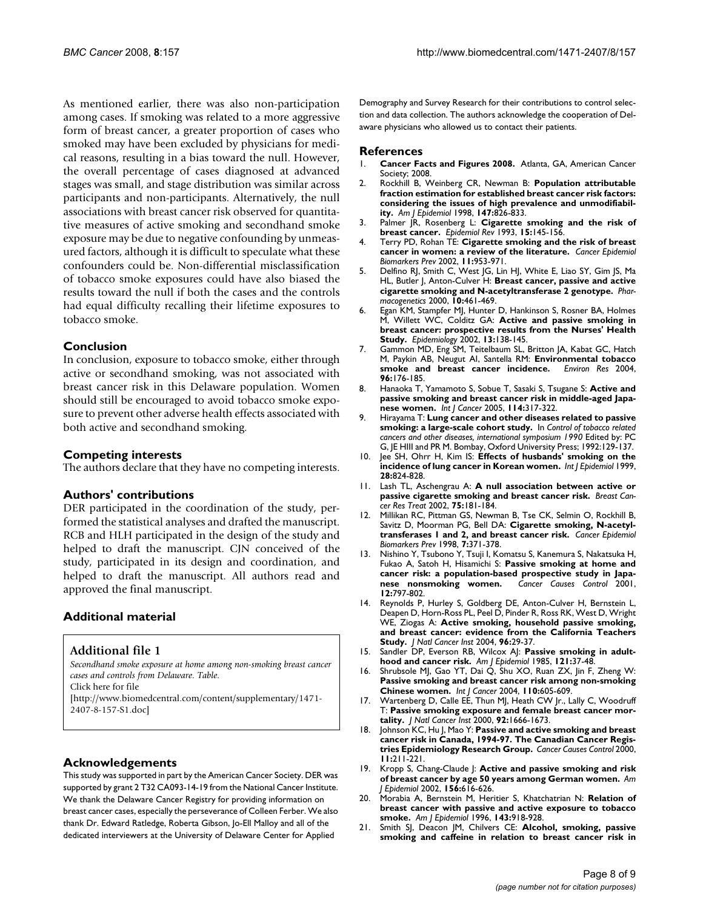As mentioned earlier, there was also non-participation among cases. If smoking was related to a more aggressive form of breast cancer, a greater proportion of cases who smoked may have been excluded by physicians for medical reasons, resulting in a bias toward the null. However, the overall percentage of cases diagnosed at advanced stages was small, and stage distribution was similar across participants and non-participants. Alternatively, the null associations with breast cancer risk observed for quantitative measures of active smoking and secondhand smoke exposure may be due to negative confounding by unmeasured factors, although it is difficult to speculate what these confounders could be. Non-differential misclassification of tobacco smoke exposures could have also biased the results toward the null if both the cases and the controls had equal difficulty recalling their lifetime exposures to tobacco smoke.

## **Conclusion**

In conclusion, exposure to tobacco smoke, either through active or secondhand smoking, was not associated with breast cancer risk in this Delaware population. Women should still be encouraged to avoid tobacco smoke exposure to prevent other adverse health effects associated with both active and secondhand smoking.

#### **Competing interests**

The authors declare that they have no competing interests.

#### **Authors' contributions**

DER participated in the coordination of the study, performed the statistical analyses and drafted the manuscript. RCB and HLH participated in the design of the study and helped to draft the manuscript. CJN conceived of the study, participated in its design and coordination, and helped to draft the manuscript. All authors read and approved the final manuscript.

## **Additional material**

#### **Additional file 1**

*Secondhand smoke exposure at home among non-smoking breast cancer cases and controls from Delaware. Table.* Click here for file [\[http://www.biomedcentral.com/content/supplementary/1471-](http://www.biomedcentral.com/content/supplementary/1471-2407-8-157-S1.doc) 2407-8-157-S1.doc]

#### **Acknowledgements**

This study was supported in part by the American Cancer Society. DER was supported by grant 2 T32 CA093-14-19 from the National Cancer Institute. We thank the Delaware Cancer Registry for providing information on breast cancer cases, especially the perseverance of Colleen Ferber. We also thank Dr. Edward Ratledge, Roberta Gibson, Jo-Ell Malloy and all of the dedicated interviewers at the University of Delaware Center for Applied

Demography and Survey Research for their contributions to control selection and data collection. The authors acknowledge the cooperation of Delaware physicians who allowed us to contact their patients.

#### **References**

- 1. **Cancer Facts and Figures 2008.** Atlanta, GA, American Cancer Society; 2008
- 2. Rockhill B, Weinberg CR, Newman B: **[Population attributable](http://www.ncbi.nlm.nih.gov/entrez/query.fcgi?cmd=Retrieve&db=PubMed&dopt=Abstract&list_uids=9583712) fraction estimation for established breast cancer risk factors: [considering the issues of high prevalence and unmodifiabil](http://www.ncbi.nlm.nih.gov/entrez/query.fcgi?cmd=Retrieve&db=PubMed&dopt=Abstract&list_uids=9583712)[ity.](http://www.ncbi.nlm.nih.gov/entrez/query.fcgi?cmd=Retrieve&db=PubMed&dopt=Abstract&list_uids=9583712)** *Am J Epidemiol* 1998, **147:**826-833.
- 3. Palmer JR, Rosenberg L: **[Cigarette smoking and the risk of](http://www.ncbi.nlm.nih.gov/entrez/query.fcgi?cmd=Retrieve&db=PubMed&dopt=Abstract&list_uids=8405197) [breast cancer.](http://www.ncbi.nlm.nih.gov/entrez/query.fcgi?cmd=Retrieve&db=PubMed&dopt=Abstract&list_uids=8405197)** *Epidemiol Rev* 1993, **15:**145-156.
- 4. Terry PD, Rohan TE: **[Cigarette smoking and the risk of breast](http://www.ncbi.nlm.nih.gov/entrez/query.fcgi?cmd=Retrieve&db=PubMed&dopt=Abstract&list_uids=12376493) [cancer in women: a review of the literature.](http://www.ncbi.nlm.nih.gov/entrez/query.fcgi?cmd=Retrieve&db=PubMed&dopt=Abstract&list_uids=12376493)** *Cancer Epidemiol Biomarkers Prev* 2002, **11:**953-971.
- 5. Delfino RJ, Smith C, West JG, Lin HJ, White E, Liao SY, Gim JS, Ma HL, Butler J, Anton-Culver H: **[Breast cancer, passive and active](http://www.ncbi.nlm.nih.gov/entrez/query.fcgi?cmd=Retrieve&db=PubMed&dopt=Abstract&list_uids=10898115) [cigarette smoking and N-acetyltransferase 2 genotype.](http://www.ncbi.nlm.nih.gov/entrez/query.fcgi?cmd=Retrieve&db=PubMed&dopt=Abstract&list_uids=10898115)** *Pharmacogenetics* 2000, **10:**461-469.
- 6. Egan KM, Stampfer MJ, Hunter D, Hankinson S, Rosner BA, Holmes M, Willett WC, Colditz GA: **[Active and passive smoking in](http://www.ncbi.nlm.nih.gov/entrez/query.fcgi?cmd=Retrieve&db=PubMed&dopt=Abstract&list_uids=11880753) [breast cancer: prospective results from the Nurses' Health](http://www.ncbi.nlm.nih.gov/entrez/query.fcgi?cmd=Retrieve&db=PubMed&dopt=Abstract&list_uids=11880753) [Study.](http://www.ncbi.nlm.nih.gov/entrez/query.fcgi?cmd=Retrieve&db=PubMed&dopt=Abstract&list_uids=11880753)** *Epidemiology* 2002, **13:**138-145.
- 7. Gammon MD, Eng SM, Teitelbaum SL, Britton JA, Kabat GC, Hatch M, Paykin AB, Neugut AI, Santella RM: **[Environmental tobacco](http://www.ncbi.nlm.nih.gov/entrez/query.fcgi?cmd=Retrieve&db=PubMed&dopt=Abstract&list_uids=15325878) [smoke and breast cancer incidence.](http://www.ncbi.nlm.nih.gov/entrez/query.fcgi?cmd=Retrieve&db=PubMed&dopt=Abstract&list_uids=15325878)** *Environ Res* 2004, **96:**176-185.
- 8. Hanaoka T, Yamamoto S, Sobue T, Sasaki S, Tsugane S: **[Active and](http://www.ncbi.nlm.nih.gov/entrez/query.fcgi?cmd=Retrieve&db=PubMed&dopt=Abstract&list_uids=15540214) [passive smoking and breast cancer risk in middle-aged Japa](http://www.ncbi.nlm.nih.gov/entrez/query.fcgi?cmd=Retrieve&db=PubMed&dopt=Abstract&list_uids=15540214)[nese women.](http://www.ncbi.nlm.nih.gov/entrez/query.fcgi?cmd=Retrieve&db=PubMed&dopt=Abstract&list_uids=15540214)** *Int J Cancer* 2005, **114:**317-322.
- 9. Hirayama T: **Lung cancer and other diseases related to passive smoking: a large-scale cohort study.** In *Control of tobacco related cancers and other diseases, international symposium 1990* Edited by: PC G, JE HIII and PR M. Bombay, Oxford University Press; 1992:129-137.
- 10. Jee SH, Ohrr H, Kim IS: **[Effects of husbands' smoking on the](http://www.ncbi.nlm.nih.gov/entrez/query.fcgi?cmd=Retrieve&db=PubMed&dopt=Abstract&list_uids=10597977) [incidence of lung cancer in Korean women.](http://www.ncbi.nlm.nih.gov/entrez/query.fcgi?cmd=Retrieve&db=PubMed&dopt=Abstract&list_uids=10597977)** *Int J Epidemiol* 1999, **28:**824-828.
- 11. Lash TL, Aschengrau A: **[A null association between active or](http://www.ncbi.nlm.nih.gov/entrez/query.fcgi?cmd=Retrieve&db=PubMed&dopt=Abstract&list_uids=12243511) [passive cigarette smoking and breast cancer risk.](http://www.ncbi.nlm.nih.gov/entrez/query.fcgi?cmd=Retrieve&db=PubMed&dopt=Abstract&list_uids=12243511)** *Breast Cancer Res Treat* 2002, **75:**181-184.
- 12. Millikan RC, Pittman GS, Newman B, Tse CK, Selmin O, Rockhill B, Savitz D, Moorman PG, Bell DA: **[Cigarette smoking, N-acetyl](http://www.ncbi.nlm.nih.gov/entrez/query.fcgi?cmd=Retrieve&db=PubMed&dopt=Abstract&list_uids=9610785)[transferases 1 and 2, and breast cancer risk.](http://www.ncbi.nlm.nih.gov/entrez/query.fcgi?cmd=Retrieve&db=PubMed&dopt=Abstract&list_uids=9610785)** *Cancer Epidemiol Biomarkers Prev* 1998, **7:**371-378.
- 13. Nishino Y, Tsubono Y, Tsuji I, Komatsu S, Kanemura S, Nakatsuka H, Fukao A, Satoh H, Hisamichi S: **[Passive smoking at home and](http://www.ncbi.nlm.nih.gov/entrez/query.fcgi?cmd=Retrieve&db=PubMed&dopt=Abstract&list_uids=11714107) [cancer risk: a population-based prospective study in Japa](http://www.ncbi.nlm.nih.gov/entrez/query.fcgi?cmd=Retrieve&db=PubMed&dopt=Abstract&list_uids=11714107)[nese nonsmoking women.](http://www.ncbi.nlm.nih.gov/entrez/query.fcgi?cmd=Retrieve&db=PubMed&dopt=Abstract&list_uids=11714107)** *Cancer Causes Control* 2001, **12:**797-802.
- 14. Reynolds P, Hurley S, Goldberg DE, Anton-Culver H, Bernstein L, Deapen D, Horn-Ross PL, Peel D, Pinder R, Ross RK, West D, Wright WE, Ziogas A: **[Active smoking, household passive smoking,](http://www.ncbi.nlm.nih.gov/entrez/query.fcgi?cmd=Retrieve&db=PubMed&dopt=Abstract&list_uids=14709736) [and breast cancer: evidence from the California Teachers](http://www.ncbi.nlm.nih.gov/entrez/query.fcgi?cmd=Retrieve&db=PubMed&dopt=Abstract&list_uids=14709736) [Study.](http://www.ncbi.nlm.nih.gov/entrez/query.fcgi?cmd=Retrieve&db=PubMed&dopt=Abstract&list_uids=14709736)** *J Natl Cancer Inst* 2004, **96:**29-37.
- 15. Sandler DP, Everson RB, Wilcox AJ: **[Passive smoking in adult](http://www.ncbi.nlm.nih.gov/entrez/query.fcgi?cmd=Retrieve&db=PubMed&dopt=Abstract&list_uids=3964991)[hood and cancer risk.](http://www.ncbi.nlm.nih.gov/entrez/query.fcgi?cmd=Retrieve&db=PubMed&dopt=Abstract&list_uids=3964991)** *Am J Epidemiol* 1985, **121:**37-48.
- 16. Shrubsole MJ, Gao YT, Dai Q, Shu XO, Ruan ZX, Jin F, Zheng W: **[Passive smoking and breast cancer risk among non-smoking](http://www.ncbi.nlm.nih.gov/entrez/query.fcgi?cmd=Retrieve&db=PubMed&dopt=Abstract&list_uids=15122595) [Chinese women.](http://www.ncbi.nlm.nih.gov/entrez/query.fcgi?cmd=Retrieve&db=PubMed&dopt=Abstract&list_uids=15122595)** *Int J Cancer* 2004, **110:**605-609.
- 17. Wartenberg D, Calle EE, Thun MJ, Heath CW Jr., Lally C, Woodruff T: **[Passive smoking exposure and female breast cancer mor](http://www.ncbi.nlm.nih.gov/entrez/query.fcgi?cmd=Retrieve&db=PubMed&dopt=Abstract&list_uids=11036112)[tality.](http://www.ncbi.nlm.nih.gov/entrez/query.fcgi?cmd=Retrieve&db=PubMed&dopt=Abstract&list_uids=11036112)** *J Natl Cancer Inst* 2000, **92:**1666-1673.
- 18. Johnson KC, Hu J, Mao Y: **[Passive and active smoking and breast](http://www.ncbi.nlm.nih.gov/entrez/query.fcgi?cmd=Retrieve&db=PubMed&dopt=Abstract&list_uids=10782655) [cancer risk in Canada, 1994-97. The Canadian Cancer Regis](http://www.ncbi.nlm.nih.gov/entrez/query.fcgi?cmd=Retrieve&db=PubMed&dopt=Abstract&list_uids=10782655)[tries Epidemiology Research Group.](http://www.ncbi.nlm.nih.gov/entrez/query.fcgi?cmd=Retrieve&db=PubMed&dopt=Abstract&list_uids=10782655)** *Cancer Causes Control* 2000, **11:**211-221.
- 19. Kropp S, Chang-Claude J: **[Active and passive smoking and risk](http://www.ncbi.nlm.nih.gov/entrez/query.fcgi?cmd=Retrieve&db=PubMed&dopt=Abstract&list_uids=12244030) [of breast cancer by age 50 years among German women.](http://www.ncbi.nlm.nih.gov/entrez/query.fcgi?cmd=Retrieve&db=PubMed&dopt=Abstract&list_uids=12244030)** *Am J Epidemiol* 2002, **156:**616-626.
- 20. Morabia A, Bernstein M, Heritier S, Khatchatrian N: **[Relation of](http://www.ncbi.nlm.nih.gov/entrez/query.fcgi?cmd=Retrieve&db=PubMed&dopt=Abstract&list_uids=8610705) [breast cancer with passive and active exposure to tobacco](http://www.ncbi.nlm.nih.gov/entrez/query.fcgi?cmd=Retrieve&db=PubMed&dopt=Abstract&list_uids=8610705) [smoke.](http://www.ncbi.nlm.nih.gov/entrez/query.fcgi?cmd=Retrieve&db=PubMed&dopt=Abstract&list_uids=8610705)** *Am J Epidemiol* 1996, **143:**918-928.
- 21. Smith SJ, Deacon JM, Chilvers CE: **[Alcohol, smoking, passive](http://www.ncbi.nlm.nih.gov/entrez/query.fcgi?cmd=Retrieve&db=PubMed&dopt=Abstract&list_uids=8018520) [smoking and caffeine in relation to breast cancer risk in](http://www.ncbi.nlm.nih.gov/entrez/query.fcgi?cmd=Retrieve&db=PubMed&dopt=Abstract&list_uids=8018520)**